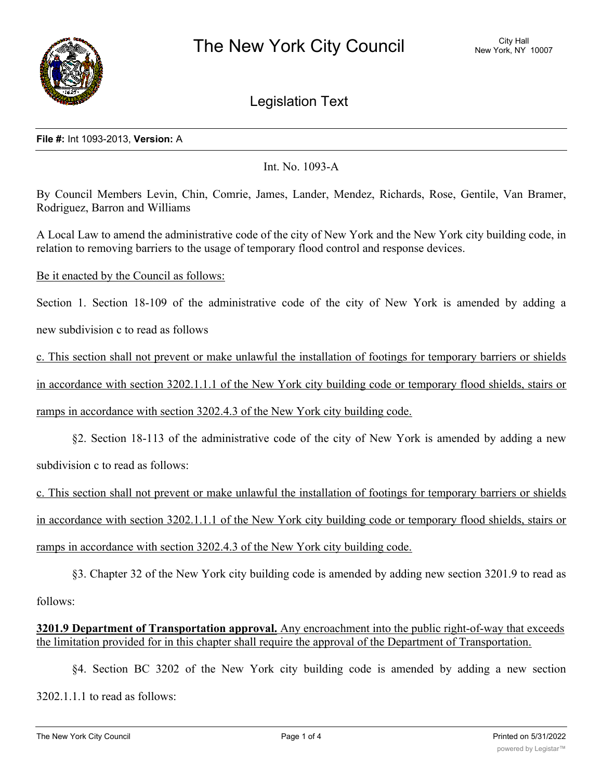

Legislation Text

## **File #:** Int 1093-2013, **Version:** A

Int. No. 1093-A

By Council Members Levin, Chin, Comrie, James, Lander, Mendez, Richards, Rose, Gentile, Van Bramer, Rodriguez, Barron and Williams

A Local Law to amend the administrative code of the city of New York and the New York city building code, in relation to removing barriers to the usage of temporary flood control and response devices.

Be it enacted by the Council as follows:

Section 1. Section 18-109 of the administrative code of the city of New York is amended by adding a

new subdivision c to read as follows

c. This section shall not prevent or make unlawful the installation of footings for temporary barriers or shields in accordance with section 3202.1.1.1 of the New York city building code or temporary flood shields, stairs or ramps in accordance with section 3202.4.3 of the New York city building code.

§2. Section 18-113 of the administrative code of the city of New York is amended by adding a new subdivision c to read as follows:

c. This section shall not prevent or make unlawful the installation of footings for temporary barriers or shields in accordance with section 3202.1.1.1 of the New York city building code or temporary flood shields, stairs or ramps in accordance with section 3202.4.3 of the New York city building code.

§3. Chapter 32 of the New York city building code is amended by adding new section 3201.9 to read as follows:

**3201.9 Department of Transportation approval.** Any encroachment into the public right-of-way that exceeds the limitation provided for in this chapter shall require the approval of the Department of Transportation.

§4. Section BC 3202 of the New York city building code is amended by adding a new section 3202.1.1.1 to read as follows: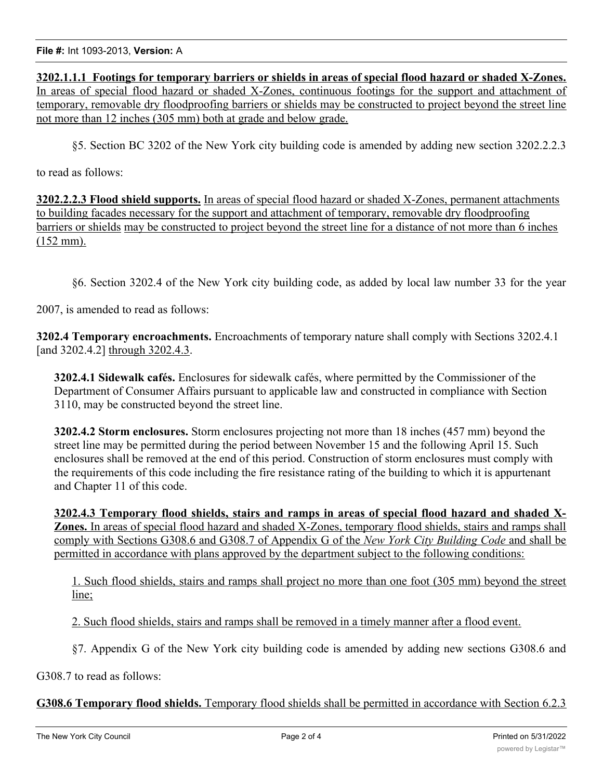**3202.1.1.1 Footings for temporary barriers or shields in areas of special flood hazard or shaded X-Zones.** In areas of special flood hazard or shaded X-Zones, continuous footings for the support and attachment of temporary, removable dry floodproofing barriers or shields may be constructed to project beyond the street line not more than 12 inches (305 mm) both at grade and below grade.

§5. Section BC 3202 of the New York city building code is amended by adding new section 3202.2.2.3

to read as follows:

**3202.2.2.3 Flood shield supports.** In areas of special flood hazard or shaded X-Zones, permanent attachments to building facades necessary for the support and attachment of temporary, removable dry floodproofing barriers or shields may be constructed to project beyond the street line for a distance of not more than 6 inches (152 mm).

§6. Section 3202.4 of the New York city building code, as added by local law number 33 for the year

2007, is amended to read as follows:

**3202.4 Temporary encroachments.** Encroachments of temporary nature shall comply with Sections 3202.4.1 [and 3202.4.2] through 3202.4.3.

**3202.4.1 Sidewalk cafés.** Enclosures for sidewalk cafés, where permitted by the Commissioner of the Department of Consumer Affairs pursuant to applicable law and constructed in compliance with Section 3110, may be constructed beyond the street line.

**3202.4.2 Storm enclosures.** Storm enclosures projecting not more than 18 inches (457 mm) beyond the street line may be permitted during the period between November 15 and the following April 15. Such enclosures shall be removed at the end of this period. Construction of storm enclosures must comply with the requirements of this code including the fire resistance rating of the building to which it is appurtenant and Chapter 11 of this code.

**3202.4.3 Temporary flood shields, stairs and ramps in areas of special flood hazard and shaded X-Zones.** In areas of special flood hazard and shaded X-Zones, temporary flood shields, stairs and ramps shall comply with Sections G308.6 and G308.7 of Appendix G of the *New York City Building Code* and shall be permitted in accordance with plans approved by the department subject to the following conditions:

1. Such flood shields, stairs and ramps shall project no more than one foot (305 mm) beyond the street line;

2. Such flood shields, stairs and ramps shall be removed in a timely manner after a flood event.

§7. Appendix G of the New York city building code is amended by adding new sections G308.6 and

G308.7 to read as follows:

**G308.6 Temporary flood shields.** Temporary flood shields shall be permitted in accordance with Section 6.2.3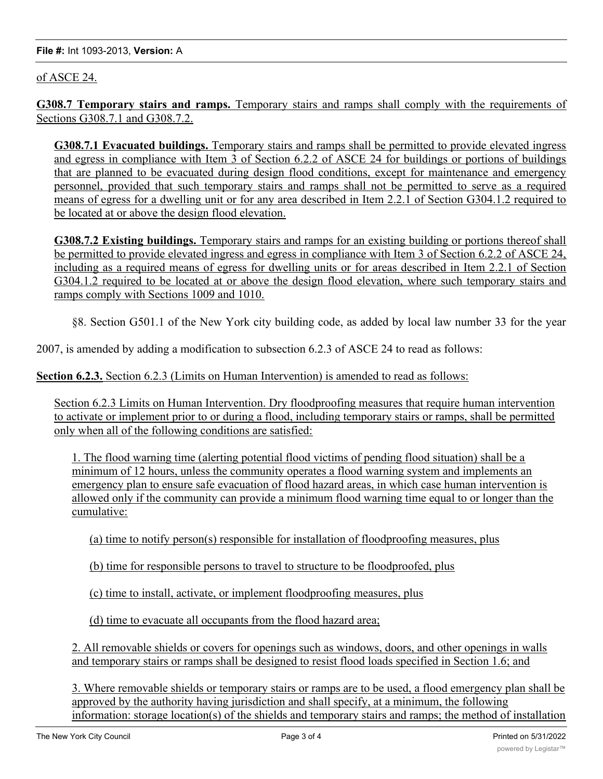## of ASCE 24.

**G308.7 Temporary stairs and ramps.** Temporary stairs and ramps shall comply with the requirements of Sections G308.7.1 and G308.7.2.

**G308.7.1 Evacuated buildings.** Temporary stairs and ramps shall be permitted to provide elevated ingress and egress in compliance with Item 3 of Section 6.2.2 of ASCE 24 for buildings or portions of buildings that are planned to be evacuated during design flood conditions, except for maintenance and emergency personnel, provided that such temporary stairs and ramps shall not be permitted to serve as a required means of egress for a dwelling unit or for any area described in Item 2.2.1 of Section G304.1.2 required to be located at or above the design flood elevation.

**G308.7.2 Existing buildings.** Temporary stairs and ramps for an existing building or portions thereof shall be permitted to provide elevated ingress and egress in compliance with Item 3 of Section 6.2.2 of ASCE 24, including as a required means of egress for dwelling units or for areas described in Item 2.2.1 of Section G304.1.2 required to be located at or above the design flood elevation, where such temporary stairs and ramps comply with Sections 1009 and 1010.

§8. Section G501.1 of the New York city building code, as added by local law number 33 for the year

2007, is amended by adding a modification to subsection 6.2.3 of ASCE 24 to read as follows:

**Section 6.2.3.** Section 6.2.3 (Limits on Human Intervention) is amended to read as follows:

Section 6.2.3 Limits on Human Intervention. Dry floodproofing measures that require human intervention to activate or implement prior to or during a flood, including temporary stairs or ramps, shall be permitted only when all of the following conditions are satisfied:

1. The flood warning time (alerting potential flood victims of pending flood situation) shall be a minimum of 12 hours, unless the community operates a flood warning system and implements an emergency plan to ensure safe evacuation of flood hazard areas, in which case human intervention is allowed only if the community can provide a minimum flood warning time equal to or longer than the cumulative:

(a) time to notify person(s) responsible for installation of floodproofing measures, plus

(b) time for responsible persons to travel to structure to be floodproofed, plus

(c) time to install, activate, or implement floodproofing measures, plus

(d) time to evacuate all occupants from the flood hazard area;

2. All removable shields or covers for openings such as windows, doors, and other openings in walls and temporary stairs or ramps shall be designed to resist flood loads specified in Section 1.6; and

3. Where removable shields or temporary stairs or ramps are to be used, a flood emergency plan shall be approved by the authority having jurisdiction and shall specify, at a minimum, the following information: storage location(s) of the shields and temporary stairs and ramps; the method of installation